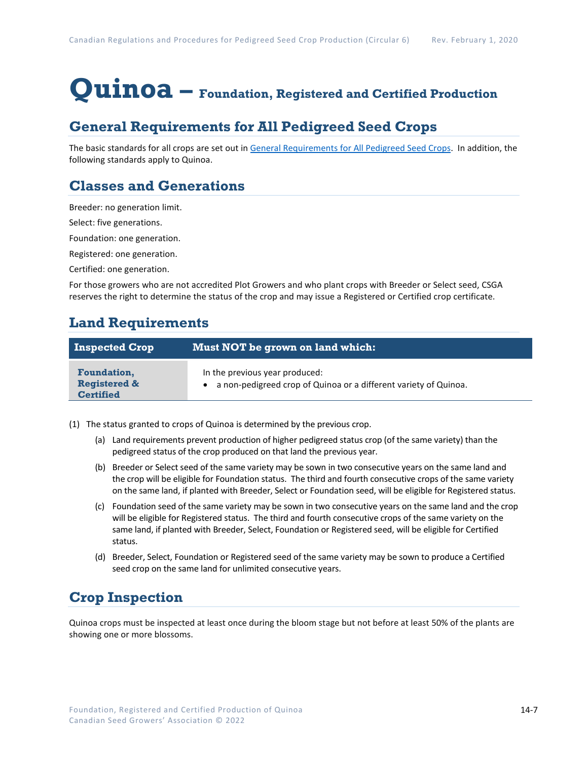# **Quinoa – Foundation, Registered and Certified Production**

## **General Requirements for All Pedigreed Seed Crops**

The basic standards for all crops are set out i[n General Requirements for](https://seedgrowers.ca/wp-content/uploads/2020/01/GENERAL-REQUIREMENTS-ALL-CROPS_EN.pdf) All Pedigreed Seed Crops. In addition, the following standards apply to Quinoa.

## **Classes and Generations**

Breeder: no generation limit.

Select: five generations.

Foundation: one generation.

Registered: one generation.

Certified: one generation.

For those growers who are not accredited Plot Growers and who plant crops with Breeder or Select seed, CSGA reserves the right to determine the status of the crop and may issue a Registered or Certified crop certificate.

### **Land Requirements**

| <b>Inspected Crop</b>                                             | Must NOT be grown on land which:                                                                     |
|-------------------------------------------------------------------|------------------------------------------------------------------------------------------------------|
| <b>Foundation,</b><br><b>Registered &amp;</b><br><b>Certified</b> | In the previous year produced:<br>• a non-pedigreed crop of Quinoa or a different variety of Quinoa. |

(1) The status granted to crops of Quinoa is determined by the previous crop.

- (a) Land requirements prevent production of higher pedigreed status crop (of the same variety) than the pedigreed status of the crop produced on that land the previous year.
- (b) Breeder or Select seed of the same variety may be sown in two consecutive years on the same land and the crop will be eligible for Foundation status. The third and fourth consecutive crops of the same variety on the same land, if planted with Breeder, Select or Foundation seed, will be eligible for Registered status.
- (c) Foundation seed of the same variety may be sown in two consecutive years on the same land and the crop will be eligible for Registered status. The third and fourth consecutive crops of the same variety on the same land, if planted with Breeder, Select, Foundation or Registered seed, will be eligible for Certified status.
- (d) Breeder, Select, Foundation or Registered seed of the same variety may be sown to produce a Certified seed crop on the same land for unlimited consecutive years.

## **Crop Inspection**

Quinoa crops must be inspected at least once during the bloom stage but not before at least 50% of the plants are showing one or more blossoms.